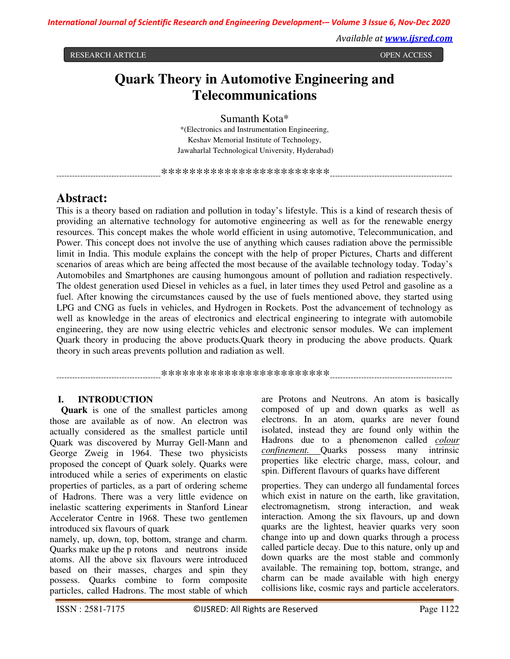RESEARCH ARTICLE **CONSERVERS IN A SECRET ARTICLE OPEN ACCESS** 

*Available at www.ijsred.com*

# **Quark Theory in Automotive Engineering and Telecommunications**

Sumanth Kota\* \*(Electronics and Instrumentation Engineering, Keshav Memorial Institute of Technology, Jawaharlal Technological University, Hyderabad)

----------------------------------------\*\*\*\*\*\*\*\*\*\*\*\*\*\*\*\*\*\*\*\*\*\*\*\*-----------------------------------------------

## **Abstract:**

This is a theory based on radiation and pollution in today's lifestyle. This is a kind of research thesis of providing an alternative technology for automotive engineering as well as for the renewable energy resources. This concept makes the whole world efficient in using automotive, Telecommunication, and Power. This concept does not involve the use of anything which causes radiation above the permissible limit in India. This module explains the concept with the help of proper Pictures, Charts and different scenarios of areas which are being affected the most because of the available technology today. Today's Automobiles and Smartphones are causing humongous amount of pollution and radiation respectively. The oldest generation used Diesel in vehicles as a fuel, in later times they used Petrol and gasoline as a fuel. After knowing the circumstances caused by the use of fuels mentioned above, they started using LPG and CNG as fuels in vehicles, and Hydrogen in Rockets. Post the advancement of technology as well as knowledge in the areas of electronics and electrical engineering to integrate with automobile engineering, they are now using electric vehicles and electronic sensor modules. We can implement Quark theory in producing the above products.Quark theory in producing the above products. Quark theory in such areas prevents pollution and radiation as well.

----------------------------------------\*\*\*\*\*\*\*\*\*\*\*\*\*\*\*\*\*\*\*\*\*\*\*\*-----------------------------------------------

## **I. INTRODUCTION**

**Quark** is one of the smallest particles among those are available as of now. An electron was actually considered as the smallest particle until Quark was discovered by Murray Gell-Mann and George Zweig in 1964. These two physicists proposed the concept of Quark solely. Quarks were introduced while a series of experiments on elastic properties of particles, as a part of ordering scheme of Hadrons. There was a very little evidence on inelastic scattering experiments in Stanford Linear Accelerator Centre in 1968. These two gentlemen introduced six flavours of quark

namely, up, down, top, bottom, strange and charm. Quarks make up the p rotons and neutrons inside atoms. All the above six flavours were introduced based on their masses, charges and spin they possess. Quarks combine to form composite particles, called Hadrons. The most stable of which

are Protons and Neutrons. An atom is basically composed of up and down quarks as well as electrons. In an atom, quarks are never found isolated, instead they are found only within the Hadrons due to a phenomenon called *colour confinement.* Quarks possess many intrinsic properties like electric charge, mass, colour, and spin. Different flavours of quarks have different

properties. They can undergo all fundamental forces which exist in nature on the earth, like gravitation, electromagnetism, strong interaction, and weak interaction. Among the six flavours, up and down quarks are the lightest, heavier quarks very soon change into up and down quarks through a process called particle decay. Due to this nature, only up and down quarks are the most stable and commonly available. The remaining top, bottom, strange, and charm can be made available with high energy collisions like, cosmic rays and particle accelerators.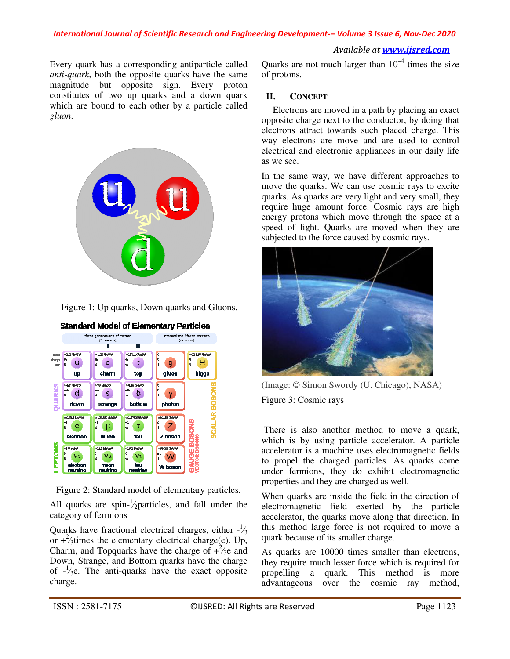## *Available at www.ijsred.com*

Every quark has a corresponding antiparticle called *anti-quark*, both the opposite quarks have the same magnitude but opposite sign. Every proton constitutes of two up quarks and a down quark which are bound to each other by a particle called *gluon*.



Figure 1: Up quarks, Down quarks and Gluons.



Figure 2: Standard model of elementary particles.

All quarks are spin- $\frac{1}{2}$ particles, and fall under the category of fermions

Quarks have fractional electrical charges, either  $-\frac{1}{3}$ or  $+\frac{2}{3}$ times the elementary electrical charge(e). Up, Charm, and Topquarks have the charge of  $+\frac{2}{3}$ e and Down, Strange, and Bottom quarks have the charge of  $-\frac{1}{2}$ e. The anti-quarks have the exact opposite charge.

Quarks are not much larger than  $10^{-4}$  times the size of protons.

## **II. CONCEPT**

 Electrons are moved in a path by placing an exact opposite charge next to the conductor, by doing that electrons attract towards such placed charge. This way electrons are move and are used to control electrical and electronic appliances in our daily life as we see.

In the same way, we have different approaches to move the quarks. We can use cosmic rays to excite quarks. As quarks are very light and very small, they require huge amount force. Cosmic rays are high energy protons which move through the space at a speed of light. Quarks are moved when they are subjected to the force caused by cosmic rays.



(Image: © Simon Swordy (U. Chicago), NASA) Figure 3: Cosmic rays

 There is also another method to move a quark, which is by using particle accelerator. A particle accelerator is a machine uses electromagnetic fields to propel the charged particles. As quarks come under fermions, they do exhibit electromagnetic properties and they are charged as well.

When quarks are inside the field in the direction of electromagnetic field exerted by the particle accelerator, the quarks move along that direction. In this method large force is not required to move a quark because of its smaller charge.

As quarks are 10000 times smaller than electrons, they require much lesser force which is required for propelling a quark. This method is more advantageous over the cosmic ray method,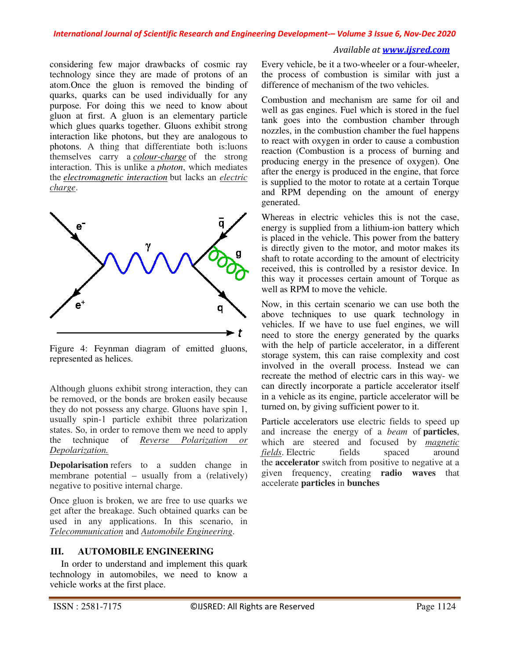#### *Available at www.ijsred.com*

considering few major drawbacks of cosmic ray technology since they are made of protons of an atom.Once the gluon is removed the binding of quarks, quarks can be used individually for any purpose. For doing this we need to know about gluon at first. A gluon is an elementary particle which glues quarks together. Gluons exhibit strong interaction like photons, but they are analogous to photons. A thing that differentiate both is:luons themselves carry a *colour-charge* of the strong interaction. This is unlike a *photon*, which mediates the *electromagnetic interaction* but lacks an *electric charge*.



Figure 4: Feynman diagram of emitted gluons, represented as helices.

Although gluons exhibit strong interaction, they can be removed, or the bonds are broken easily because they do not possess any charge. Gluons have spin 1, usually spin-1 particle exhibit three polarization states. So, in order to remove them we need to apply the technique of *Reverse Polarization or Depolarization.*

**Depolarisation** refers to a sudden change in membrane potential – usually from a (relatively) negative to positive internal charge.

Once gluon is broken, we are free to use quarks we get after the breakage. Such obtained quarks can be used in any applications. In this scenario, in *Telecommunication* and *Automobile Engineering*.

## **III. AUTOMOBILE ENGINEERING**

 In order to understand and implement this quark technology in automobiles, we need to know a vehicle works at the first place.

Every vehicle, be it a two-wheeler or a four-wheeler, the process of combustion is similar with just a difference of mechanism of the two vehicles.

Combustion and mechanism are same for oil and well as gas engines. Fuel which is stored in the fuel tank goes into the combustion chamber through nozzles, in the combustion chamber the fuel happens to react with oxygen in order to cause a combustion reaction (Combustion is a process of burning and producing energy in the presence of oxygen). One after the energy is produced in the engine, that force is supplied to the motor to rotate at a certain Torque and RPM depending on the amount of energy generated.

Whereas in electric vehicles this is not the case, energy is supplied from a lithium-ion battery which is placed in the vehicle. This power from the battery is directly given to the motor, and motor makes its shaft to rotate according to the amount of electricity received, this is controlled by a resistor device. In this way it processes certain amount of Torque as well as RPM to move the vehicle.

Now, in this certain scenario we can use both the above techniques to use quark technology in vehicles. If we have to use fuel engines, we will need to store the energy generated by the quarks with the help of particle accelerator, in a different storage system, this can raise complexity and cost involved in the overall process. Instead we can recreate the method of electric cars in this way- we can directly incorporate a particle accelerator itself in a vehicle as its engine, particle accelerator will be turned on, by giving sufficient power to it.

Particle accelerators use electric fields to speed up and increase the energy of a *beam* of **particles**, which are steered and focused by *magnetic fields*. Electric fields spaced around the **accelerator** switch from positive to negative at a given frequency, creating **radio waves** that accelerate **particles** in **bunches**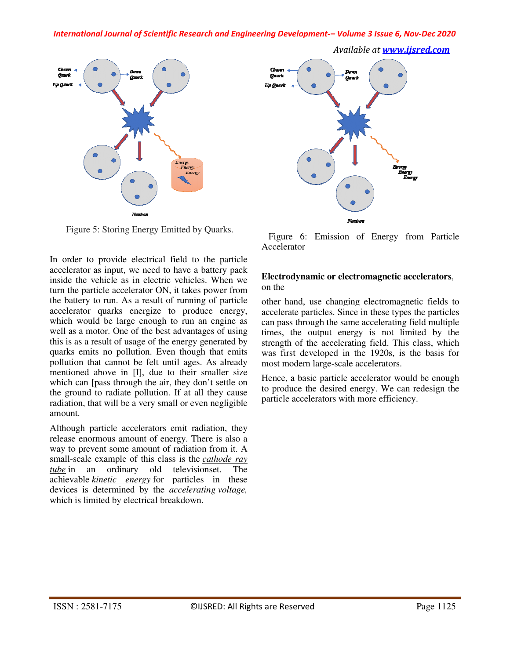*Available at www.ijsred.com*



Figure 5: Storing Energy Emitted by Quarks.

In order to provide electrical field to the particle accelerator as input, we need to have a battery pack inside the vehicle as in electric vehicles. When we turn the particle accelerator ON, it takes power from the battery to run. As a result of running of particle accelerator quarks energize to produce energy, which would be large enough to run an engine as well as a motor. One of the best advantages of using this is as a result of usage of the energy generated by quarks emits no pollution. Even though that emits pollution that cannot be felt until ages. As already mentioned above in [I], due to their smaller size which can [pass through the air, they don't settle on the ground to radiate pollution. If at all they cause radiation, that will be a very small or even negligible amount.

Although particle accelerators emit radiation, they release enormous amount of energy. There is also a way to prevent some amount of radiation from it. A small-scale example of this class is the *cathode ray tube* in an ordinary old televisionset. The achievable *kinetic energy* for particles in these devices is determined by the *accelerating voltage,* which is limited by electrical breakdown.



 Figure 6: Emission of Energy from Particle Accelerator

## **Electrodynamic or electromagnetic accelerators**, on the

other hand, use changing electromagnetic fields to accelerate particles. Since in these types the particles can pass through the same accelerating field multiple times, the output energy is not limited by the strength of the accelerating field. This class, which was first developed in the 1920s, is the basis for most modern large-scale accelerators.

Hence, a basic particle accelerator would be enough to produce the desired energy. We can redesign the particle accelerators with more efficiency.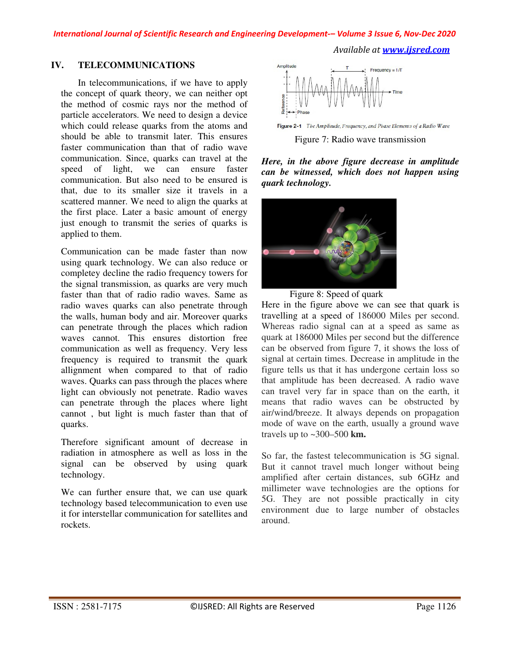*Available at www.ijsred.com*

## **IV. TELECOMMUNICATIONS**

In telecommunications, if we have to apply the concept of quark theory, we can neither opt the method of cosmic rays nor the method of particle accelerators. We need to design a device which could release quarks from the atoms and should be able to transmit later. This ensures faster communication than that of radio wave communication. Since, quarks can travel at the speed of light, we can ensure faster communication. But also need to be ensured is that, due to its smaller size it travels in a scattered manner. We need to align the quarks at the first place. Later a basic amount of energy just enough to transmit the series of quarks is applied to them.

Communication can be made faster than now using quark technology. We can also reduce or completey decline the radio frequency towers for the signal transmission, as quarks are very much faster than that of radio radio waves. Same as radio waves quarks can also penetrate through the walls, human body and air. Moreover quarks can penetrate through the places which radion waves cannot. This ensures distortion free communication as well as frequency. Very less frequency is required to transmit the quark allignment when compared to that of radio waves. Quarks can pass through the places where light can obviously not penetrate. Radio waves can penetrate through the places where light cannot , but light is much faster than that of quarks.

Therefore significant amount of decrease in radiation in atmosphere as well as loss in the signal can be observed by using quark technology.

We can further ensure that, we can use quark technology based telecommunication to even use it for interstellar communication for satellites and rockets.



Figure 2-1 The Amplitude, Frequency, and Phase Elements of a Radio Wave

Figure 7: Radio wave transmission

*Here, in the above figure decrease in amplitude can be witnessed, which does not happen using quark technology.* 





Here in the figure above we can see that quark is travelling at a speed of 186000 Miles per second. Whereas radio signal can at a speed as same as quark at 186000 Miles per second but the difference can be observed from figure 7, it shows the loss of signal at certain times. Decrease in amplitude in the figure tells us that it has undergone certain loss so that amplitude has been decreased. A radio wave can travel very far in space than on the earth, it means that radio waves can be obstructed by air/wind/breeze. It always depends on propagation mode of wave on the earth, usually a ground wave travels up to ~300–500 **km.** 

So far, the fastest telecommunication is 5G signal. But it cannot travel much longer without being amplified after certain distances, sub 6GHz and millimeter wave technologies are the options for 5G. They are not possible practically in city environment due to large number of obstacles around.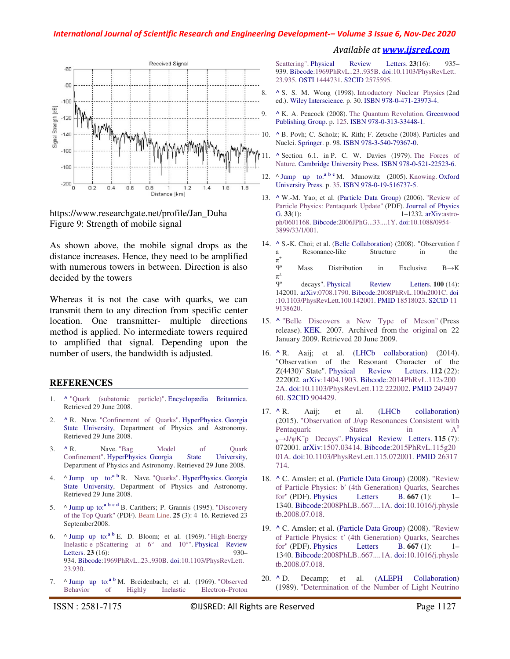

https://www.researchgate.net/profile/Jan\_Duha Figure 9: Strength of mobile signal

As shown above, the mobile signal drops as the distance increases. Hence, they need to be amplified with numerous towers in between. Direction is also decided by the towers

Whereas it is not the case with quarks, we can transmit them to any direction from specific center location. One transmitter- multiple directions method is applied. No intermediate towers required to amplified that signal. Depending upon the number of users, the bandwidth is adjusted.

#### **REFERENCES**

- 1. **^** "Quark (subatomic particle)". Encyclopædia Britannica. Retrieved 29 June 2008.
- 2. **^** R. Nave. "Confinement of Quarks". HyperPhysics. Georgia State University, Department of Physics and Astronomy. Retrieved 29 June 2008.
- 3. **^** R. Nave. "Bag Model of Quark Confinement". HyperPhysics. Georgia State University, Department of Physics and Astronomy. Retrieved 29 June 2008.
- 4. ^ Jump up to:**<sup>a</sup> <sup>b</sup>** R. Nave. "Quarks". HyperPhysics. Georgia State University, Department of Physics and Astronomy. Retrieved 29 June 2008.
- 5. ^ Jump up to:**<sup>a</sup> <sup>b</sup> <sup>c</sup> <sup>d</sup>** B. Carithers; P. Grannis (1995). "Discovery of the Top Quark" (PDF). Beam Line. **25** (3): 4–16. Retrieved 23 September2008.
- 6.  $\wedge$  Jump up to:<sup>a b</sup> E. D. Bloom; et al. (1969). "High-Energy Inelastic e–pScattering at 6° and 10°". Physical Review Letters. **23** (16): 930– 934. Bibcode:1969PhRvL..23..930B. doi:10.1103/PhysRevLett. 23.930.
- 7. ^ Jump up to:**<sup>a</sup> <sup>b</sup>** M. Breidenbach; et al. (1969). "Observed Behavior of Highly Inelastic Electron–Proton

Scattering". Physical Review Letters. **23**(16): 935– 939. Bibcode:1969PhRvL..23..935B. doi:10.1103/PhysRevLett. 23.935. OSTI 1444731. S2CID 2575595.

 *Available at www.ijsred.com*

- 8. **^** S. S. M. Wong (1998). Introductory Nuclear Physics (2nd ed.). Wiley Interscience. p. 30. ISBN 978-0-471-23973-4.
- 9. **^** K. A. Peacock (2008). The Quantum Revolution. Greenwood Publishing Group. p. 125. ISBN 978-0-313-33448-1.
- 10. **^** B. Povh; C. Scholz; K. Rith; F. Zetsche (2008). Particles and Nuclei. Springer. p. 98. ISBN 978-3-540-79367-0.
	- 11. **^** Section 6.1. in P. C. W. Davies (1979). The Forces of Nature. Cambridge University Press. ISBN 978-0-521-22523-6.
- 12. ^ Jump up to:<sup>a b c</sup> M. Munowitz (2005). Knowing. Oxford University Press. p. 35. ISBN 978-0-19-516737-5.
- 13. **^** W.-M. Yao; et al. (Particle Data Group) (2006). "Review of Particle Physics: Pentaquark Update" (PDF). Journal of Physics G. **33**(1): 1–1232. arXiv:astroph/0601168. Bibcode:2006JPhG...33....1Y. doi:10.1088/0954- 3899/33/1/001.
- 14. **^** S.-K. Choi; et al. (Belle Collaboration) (2008). "Observation f a Resonance-like Structure in the  $\pi^{\pm}$ Ψ′ Mass Distribution in Exclusive B→K  $\pi^{\pm}$ Ψ′ decays". Physical Review Letters. **100** (14): 142001. arXiv:0708.1790. Bibcode:2008PhRvL.100n2001C. doi :10.1103/PhysRevLett.100.142001. PMID 18518023. S2CID 11
- 15. **^** "Belle Discovers a New Type of Meson" (Press release). KEK. 2007. Archived from the original on 22 January 2009. Retrieved 20 June 2009.

9138620.

- 16. **^** R. Aaij; et al. (LHCb collaboration) (2014). "Observation of the Resonant Character of the Z(4430)<sup>-</sup> State". Physical Review Letters. **112** (22): 222002. arXiv:1404.1903. Bibcode:2014PhRvL.112v200 2A. doi:10.1103/PhysRevLett.112.222002. PMID 249497 60. S2CID 904429.
- 17. **^** R. Aaij; et al. (LHCb collaboration) (2015). "Observation of J/ψp Resonances Consistent with Pentaquark States in  $\Lambda^0$ <sup>b</sup>→J/ψK − p Decays". Physical Review Letters. **115** (7): 072001. arXiv:1507.03414. Bibcode:2015PhRvL.115g20 01A. doi:10.1103/PhysRevLett.115.072001. PMID 26317 714.
- 18. **^** C. Amsler; et al. (Particle Data Group) (2008). "Review of Particle Physics: b′ (4th Generation) Quarks, Searches for" (PDF). Physics Letters B. **667** (1): 1– 1340. Bibcode:2008PhLB..667....1A. doi:10.1016/j.physle tb.2008.07.018.
- 19. **^** C. Amsler; et al. (Particle Data Group) (2008). "Review of Particle Physics: t′ (4th Generation) Quarks, Searches for" (PDF). Physics Letters B. **667** (1): 1– 1340. Bibcode:2008PhLB..667....1A. doi:10.1016/j.physle tb.2008.07.018.
- 20. **^** D. Decamp; et al. (ALEPH Collaboration) (1989). "Determination of the Number of Light Neutrino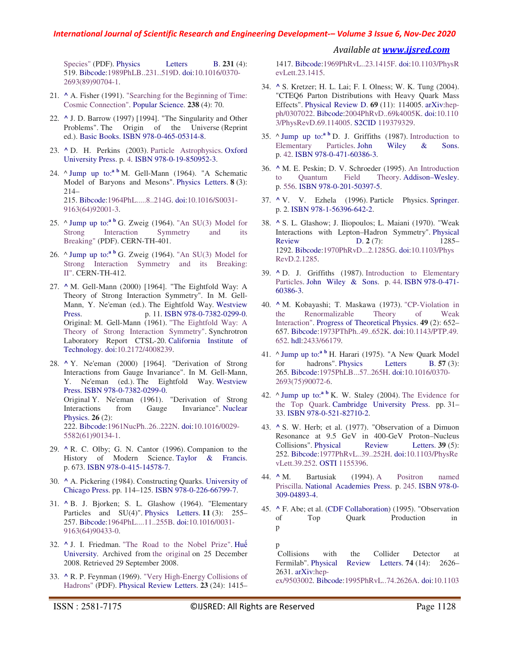*Available at www.ijsred.com*

Species" (PDF). Physics Letters B. 231 (4): 519. Bibcode:1989PhLB..231..519D. doi:10.1016/0370- 2693(89)90704-1.

- 21. **^** A. Fisher (1991). "Searching for the Beginning of Time: Cosmic Connection". Popular Science. **238** (4): 70.
- 22. **^** J. D. Barrow (1997) [1994]. "The Singularity and Other Problems". The Origin of the Universe (Reprint ed.). Basic Books. ISBN 978-0-465-05314-8.
- 23. **^** D. H. Perkins (2003). Particle Astrophysics. Oxford University Press. p. 4. ISBN 978-0-19-850952-3.
- 24. A Jump up to:<sup>a b</sup> M. Gell-Mann (1964). "A Schematic Model of Baryons and Mesons". Physics Letters. **8** (3): 214– 215. Bibcode:1964PhL.....8..214G. doi:10.1016/S0031- 9163(64)92001-3.
- 25. ^ Jump up to:**<sup>a</sup> <sup>b</sup>** G. Zweig (1964). "An SU(3) Model for Strong Interaction Symmetry and its Breaking" (PDF). CERN-TH-401.
- 26. ^ Jump up to:**<sup>a</sup> <sup>b</sup>** G. Zweig (1964). "An SU(3) Model for Strong Interaction Symmetry and its Breaking: II". CERN-TH-412.
- 27. **^** M. Gell-Mann (2000) [1964]. "The Eightfold Way: A Theory of Strong Interaction Symmetry". In M. Gell-Mann, Y. Ne'eman (ed.). The Eightfold Way. Westview Press. p. 11. ISBN 978-0-7382-0299-0. Original: M. Gell-Mann (1961). "The Eightfold Way: A Theory of Strong Interaction Symmetry". Synchrotron Laboratory Report CTSL-20. California Institute of Technology. doi:10.2172/4008239.

28. **^** Y. Ne'eman (2000) [1964]. "Derivation of Strong Interactions from Gauge Invariance". In M. Gell-Mann, Y. Ne'eman (ed.). The Eightfold Way. Westview Press. ISBN 978-0-7382-0299-0. Original Y. Ne'eman (1961). "Derivation of Strong Interactions from Gauge Invariance". Nuclear Physics. **26** (2): 222. Bibcode:1961NucPh..26..222N. doi:10.1016/0029- 5582(61)90134-1.

- 29. **^** R. C. Olby; G. N. Cantor (1996). Companion to the History of Modern Science. Taylor & Francis. p. 673. ISBN 978-0-415-14578-7.
- 30. **^** A. Pickering (1984). Constructing Quarks. University of Chicago Press. pp. 114–125. ISBN 978-0-226-66799-7.
- 31. **^** B. J. Bjorken; S. L. Glashow (1964). "Elementary Particles and SU(4)". Physics Letters. **11** (3): 255– 257. Bibcode:1964PhL....11..255B. doi:10.1016/0031- 9163(64)90433-0.
- 32. **^** J. I. Friedman. "The Road to the Nobel Prize". Huế University. Archived from the original on 25 December 2008. Retrieved 29 September 2008.
- 33. **^** R. P. Feynman (1969). "Very High-Energy Collisions of Hadrons" (PDF). Physical Review Letters. **23** (24): 1415–

1417. Bibcode:1969PhRvL..23.1415F. doi:10.1103/PhysR evLett.23.1415.

- 34. **^** S. Kretzer; H. L. Lai; F. I. Olness; W. K. Tung (2004). "CTEQ6 Parton Distributions with Heavy Quark Mass Effects". Physical Review D. **69** (11): 114005. arXiv:hepph/0307022. Bibcode:2004PhRvD..69k4005K. doi:10.110 3/PhysRevD.69.114005. S2CID 119379329.
- 35. ^ Jump up to:**<sup>a</sup> <sup>b</sup>** D. J. Griffiths (1987). Introduction to Elementary Particles. John Wiley & Sons. p. 42. ISBN 978-0-471-60386-3.
- 36. **^** M. E. Peskin; D. V. Schroeder (1995). An Introduction to Quantum Field Theory. Addison–Wesley. p. 556. ISBN 978-0-201-50397-5.
- 37. **^** V. V. Ezhela (1996). Particle Physics. Springer. p. 2. ISBN 978-1-56396-642-2.
- 38. **^** S. L. Glashow; J. Iliopoulos; L. Maiani (1970). "Weak Interactions with Lepton–Hadron Symmetry". Physical Review **D. 2** (7): 1285– 1292. Bibcode:1970PhRvD...2.1285G. doi:10.1103/Phys RevD.2.1285.
- 39. **^** D. J. Griffiths (1987). Introduction to Elementary Particles. John Wiley & Sons. p. 44. ISBN 978-0-471- 60386-3.
- 40. **^** M. Kobayashi; T. Maskawa (1973). "CP-Violation in the Renormalizable Theory of Weak Interaction". Progress of Theoretical Physics. **49** (2): 652– 657. Bibcode:1973PThPh..49..652K. doi:10.1143/PTP.49. 652. hdl:2433/66179.
- 41. ^ Jump up to:<sup>a b</sup> H. Harari (1975). "A New Quark Model for hadrons". Physics Letters B. **57** (3): 265. Bibcode:1975PhLB...57..265H. doi:10.1016/0370- 2693(75)90072-6.
- 42. ^ Jump up to:**<sup>a</sup> <sup>b</sup>** K. W. Staley (2004). The Evidence for the Top Quark. Cambridge University Press. pp. 31– 33. ISBN 978-0-521-82710-2.
- 43. **^** S. W. Herb; et al. (1977). "Observation of a Dimuon Resonance at 9.5 GeV in 400-GeV Proton–Nucleus<br>Collisions". Physical Review Letters. **39** (5): Collisions". Physical Review Letters. **39** (5): 252. Bibcode:1977PhRvL..39..252H. doi:10.1103/PhysRe vLett.39.252. OSTI 1155396.
- 44. **^** M. Bartusiak (1994). A Positron named Priscilla. National Academies Press. p. 245. ISBN 978-0- 309-04893-4.
- 45. **^** F. Abe; et al. (CDF Collaboration) (1995). "Observation of Top Quark Production in p

p Collisions with the Collider Detector at Fermilab". Physical Review Letters. **74** (14): 2626– 2631. arXiv:hep-

ex/9503002. Bibcode:1995PhRvL..74.2626A. doi:10.1103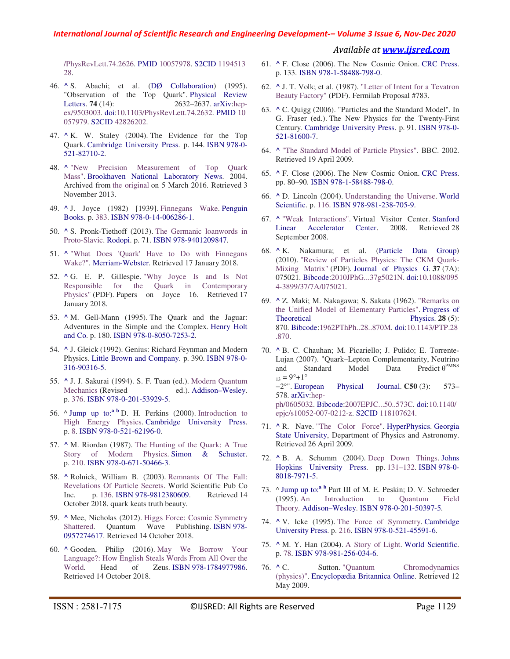*Available at www.ijsred.com*

/PhysRevLett.74.2626. PMID 10057978. S2CID 1194513 28.

- 46. **^** S. Abachi; et al. (DØ Collaboration) (1995). "Observation of the Top Quark". Physical Review Letters. **74** (14): 2632–2637. arXiv:hepex/9503003. doi:10.1103/PhysRevLett.74.2632. PMID 10 057979. S2CID 42826202.
- 47. **^** K. W. Staley (2004). The Evidence for the Top Quark. Cambridge University Press. p. 144. ISBN 978-0- 521-82710-2.
- 48. **^** "New Precision Measurement of Top Quark Mass". Brookhaven National Laboratory News. 2004. Archived from the original on 5 March 2016. Retrieved 3 November 2013.
- 49. **^** J. Joyce (1982) [1939]. Finnegans Wake. Penguin Books. p. 383. ISBN 978-0-14-006286-1.
- 50. **^** S. Pronk-Tiethoff (2013). The Germanic loanwords in Proto-Slavic. Rodopi. p. 71. ISBN 978-9401209847.
- 51. **^** "What Does 'Quark' Have to Do with Finnegans Wake?". Merriam-Webster. Retrieved 17 January 2018.
- 52. **^** G. E. P. Gillespie. "Why Joyce Is and Is Not Responsible for the Quark in Contemporary Physics" (PDF). Papers on Joyce 16. Retrieved 17 January 2018.
- 53. **^** M. Gell-Mann (1995). The Quark and the Jaguar: Adventures in the Simple and the Complex. Henry Holt and Co. p. 180. ISBN 978-0-8050-7253-2.
- 54. **^** J. Gleick (1992). Genius: Richard Feynman and Modern Physics. Little Brown and Company. p. 390. ISBN 978-0- 316-90316-5.
- 55. **^** J. J. Sakurai (1994). S. F. Tuan (ed.). Modern Quantum Mechanics (Revised ed.). Addison–Wesley. p. 376. ISBN 978-0-201-53929-5.
- 56. ^ Jump up to:**<sup>a</sup> <sup>b</sup>** D. H. Perkins (2000). Introduction to High Energy Physics. Cambridge University Press. p. 8. ISBN 978-0-521-62196-0.
- 57. **^** M. Riordan (1987). The Hunting of the Quark: A True Story of Modern Physics. Simon & Schuster. p. 210. ISBN 978-0-671-50466-3.
- 58. **^** Rolnick, William B. (2003). Remnants Of The Fall: Revelations Of Particle Secrets. World Scientific Pub Co Inc. p. 136. ISBN 978-9812380609. Retrieved 14 October 2018. quark keats truth beauty.
- 59. **^** Mee, Nicholas (2012). Higgs Force: Cosmic Symmetry Shattered. Quantum Wave Publishing. ISBN 978- 0957274617. Retrieved 14 October 2018.
- 60. **^** Gooden, Philip (2016). May We Borrow Your Language?: How English Steals Words From All Over the World. Head of Zeus. ISBN 978-1784977986. Retrieved 14 October 2018.
- 61. **^** F. Close (2006). The New Cosmic Onion. CRC Press. p. 133. ISBN 978-1-58488-798-0.
- 62. **^** J. T. Volk; et al. (1987). "Letter of Intent for a Tevatron Beauty Factory" (PDF). Fermilab Proposal #783.
- 63. **^** C. Quigg (2006). "Particles and the Standard Model". In G. Fraser (ed.). The New Physics for the Twenty-First Century. Cambridge University Press. p. 91. ISBN 978-0- 521-81600-7.
- 64. **^** "The Standard Model of Particle Physics". BBC. 2002. Retrieved 19 April 2009.
- 65. **^** F. Close (2006). The New Cosmic Onion. CRC Press. pp. 80–90. ISBN 978-1-58488-798-0.
- 66. **^** D. Lincoln (2004). Understanding the Universe. World Scientific. p. 116. ISBN 978-981-238-705-9.
- 67. **^** "Weak Interactions". Virtual Visitor Center. Stanford Linear Accelerator Center. 2008. Retrieved 28 September 2008.
- 68. **^** K. Nakamura; et al. (Particle Data Group) (2010). "Review of Particles Physics: The CKM Quark-Mixing Matrix" (PDF). Journal of Physics G. **37** (7A): 075021. Bibcode:2010JPhG...37g5021N. doi:10.1088/095 4-3899/37/7A/075021.
- 69. **^** Z. Maki; M. Nakagawa; S. Sakata (1962). "Remarks on the Unified Model of Elementary Particles". Progress of Theoretical Physics. **28** (5): 870. Bibcode:1962PThPh..28..870M. doi:10.1143/PTP.28 .870.
- 70. **^** B. C. Chauhan; M. Picariello; J. Pulido; E. Torrente-Lujan (2007). "Quark–Lepton Complementarity, Neutrino and Standard Model Data Predict  $\theta$ <sup>PMNS</sup>  $_{13} = 9^{\circ} + 1^{\circ}$ <br>-2°". European Physical Journal. **C50** (3): 573– 578. arXiv:hepph/0605032. Bibcode:2007EPJC...50..573C. doi:10.1140/ epjc/s10052-007-0212-z. S2CID 118107624.
- 71. **^** R. Nave. "The Color Force". HyperPhysics. Georgia State University, Department of Physics and Astronomy. Retrieved 26 April 2009.
- 72. **^** B. A. Schumm (2004). Deep Down Things. Johns Hopkins University Press. pp. 131–132. ISBN 978-0- 8018-7971-5.
- 73. ^ Jump up to:**<sup>a</sup> <sup>b</sup>** Part III of M. E. Peskin; D. V. Schroeder (1995). An Introduction to Quantum Field Theory. Addison–Wesley. ISBN 978-0-201-50397-5.
- 74. **^** V. Icke (1995). The Force of Symmetry. Cambridge University Press. p. 216. ISBN 978-0-521-45591-6.
- 75. **^** M. Y. Han (2004). A Story of Light. World Scientific. p. 78. ISBN 978-981-256-034-6.
- 76. **^** C. Sutton. "Quantum Chromodynamics (physics)". Encyclopædia Britannica Online. Retrieved 12 May 2009.